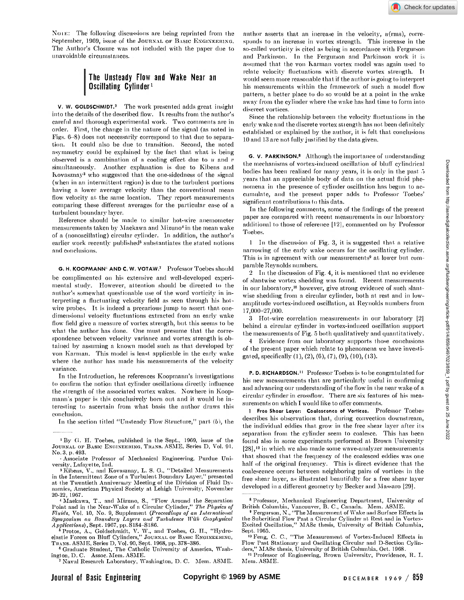XOIK: The following discussions are being reprinted from the September, 1969, issue of the JOURNAL OF BASIC ENGINEERING. The Author's Closure was not included with the paper due to unavoidable circumstances.

# The Unsteady Flow and Wake Near an Oscillating Cylinder1

V. W. GOLDSCHMIDT.<sup>2</sup> The work presented adds great insight into the details of the described flow. It results from the author's careful and thorough experimental work. Two comments are in order. First, the change in the nature of the signal (as noted in Figs. 6-8 ) does not necessarily correspond to that due to separation. It could also be due to transition. Second, the noted asymmetry could be explained by the fact that what is being observed is a combination of a cooling effect due to  $u$  and  $v$ simultaneously. Another explanation is due to Kibens and Ivovasznay<sup>3</sup> who suggested that the one-sidedness of the signal (when in an intermittent region) is due to the turbulent portions having a lower average velocity than the conventional mean flow velocity at the same location. They report measurements comparing these different averages for the particular case of a turbulent boundary layer.

Reference should be made to similar hot-wire anemometer measurements taken by Maekawa and Mizuno<sup>4</sup> in the mean wake of a (nonoscillating) circular cylinder. In addition, the author's earlier work recently published<sup>5</sup> substantiates the stated notions and conclusions.

G. H. KOOPMANN" AND C. W. VOTAW.<sup>7</sup> Professor Toebes should

be complimented on his extensive and well-developed experimental study. However, attention should be directed to the author's somewhat questionable use of the word vorticity in interpreting a fluctuating velocity field as seen through his hotwire probes. It is indeed a precarious jump to assert that onedimensional velocity fluctuations extracted from an early wake flow field give a measure of vortex strength, but this seems to be what the author has done. One must presume that the correspondence between velocity variance and vortex strength is obtained by assuming a known model such as that developed by von Karman. This model is least applicable in the early wake where the author has made his measurements of the velocity variance.

In the Introduction, he references Koopmann's investigations to confirm the notion that cylinder oscillations directly influence the strength of the associated vortex wakes. Nowhere in Koopmann's paper is this conclusively born out and it would be interesting to ascertain from what basis the author draws this conclusion.

In the section titled "Unsteady Flow Structure," part (b), the

<sup>7</sup> Naval Research Laboratory, Washington, D. C. Mem. ASME.

author asserts that an increase in the velocity,  $u(rms)$ , corresponds to an increase in vortex strength. This increase in the so-called vorticity is cited as being in accordance with Fergurson and Parkinson. In the Fergurson and Parkinson work it assumed that the von Karman vortex model was again used to relate velocity fluctuations with discrete vortex strength. It would seem more reasonable that if the author is going to interpret his measurements within the framework of such a model flow pattern, a better place to do so would be at a point in the wake away from the cylinder where the wake has had time to form into discreet vortices.

Since the relationship between the velocity fluctuations in the early wake and the discrete vortex strength has not been definitely established or explained by the author, it is felt that conclusions 10 and 13 are not fully justified by the data given.

G. V. PARKINSON.<sup>8</sup> Although the importance of understanding the mechanisms of vortex-induced oscillation of bluff cylindrical bodies has been realized for many years, it is only in the past  $5$ years that an appreciable body of data on the actual fluid phenomena in the presence of cylinder oscillation has begun to accumulate, and the present paper adds to Professor Toebes' significant contributions to this data.

In the following comments, some of the findings of the present paper are compared with recent measurements in our laboratory additional to those of reference [12], commented on by Professor Toebes.

1 In the discussion of Fig. 3, it is suggested that a relative narrowing of the early wake occurs for the oscillating cylinder. This is in agreement with our measurements<sup>9</sup> at lower but comparable Reynolds numbers.

2 In the discussion of Fig. 4, it is mentioned that no evidence of slantwise vortex shedding was found. Recent measurements in our laboratory,10 however, give strong evidence of such slantwise shedding from a circular cylinder, both at rest and in lowamplitude vortex-induced oscillation, at Reynolds numbers from 17,000-27,000.

3 Hot-wire correlation measurements in our laboratory [2] behind a circular cylinder in vortex-induced oscillation support the measurements of Fig. 5 both qualitatively and quantitatively.

4 Evidence from our laboratory supports those conclusions of the present paper which relate to phenomena we have investigated, specifically (1), (2), (6), (7), (9), (10), (13).

P. D. RICHARDSON." Professor Toebes is to be congratulated for his new measurements that are particularly useful in confirming and advancing our understanding of the flow in the near wake of a circular cylinder in crossflow. There are six features of his measurements on which I would like to offer comments.

1 Free Shear Layer: Coalescence of Vortices. Professor Toebes describes his observations that, during convection downstream, the individual eddies that grow in the free shear layer after its separation from the cylinder seem to coalesce. This has been found also in some experiments performed at Brown University [2S],12 in which we also made some wave-analyzer measurements that showed that the frequency of the coalesced eddies was one half of the original frequency. This is direct evidence that the coalescence occurs between neighboring pairs of vortices in the free shear layer, as illustrated beautifully for a free shear layer developed in a different geometry by Becker and Massaro [29).

<sup>•</sup>By (i. H. Toebes, published in the Sept., 1969, issue of the JOURNAL OF BASIC ENGINEERING, TRANS. ASME, Series D, Vol. 91. No. 3, p. 493 .

<sup>-</sup> Associate Professor of Mechanical Engineering, Purdue University, Lafayette, Ind.

<sup>&</sup>lt;sup>3</sup> Kibens, V., and Kovasznay, L. S. G., "Detailed Measurements in the Intermittent Zone of a Turbulent Boundary Layer," presented at the Twentieth Anniversary Meeting of the Division of Fluid Dynamics, American Physical Society at Lehigh University, November 20-22, 1967.

<sup>4</sup> Maekawa, T., and Mizuno, S., "Flow Around tho Separation Point and in the Near-Wake of a Circular Cylinder," *The Physics of Fluids,* Vol. 10, Xo. 9, Supplement *(Proceedings of an International Symposium on Boundary Layers and Turbulence With Geophysical Applications*), Sept. 1967, pp. S184-S186.

<sup>&</sup>lt;sup>5</sup> Protos, A., Goldschmidt, V. W., and Toebes, G. H., "Hydro-<br>elastic Forces on Bluff Cylinders," Jоuкмль ог Вляю Емсихеекихс,<br>Твлхв. ASME, Series D. Vol. 90, Sept. 1968, pp. 378–386.

<sup>6</sup> Graduate Student, The Catholic University of America, Washington, D. C. Assoc. Mem. ASME.

<sup>8</sup> Professor, Mechanical Engineering Department, University of

British Columbia, Vancouver, B. C., Canada. Mem. ASME. <sup>9</sup> Fergurson, N., "The Measurement of Wake and Surface Effects in the Subcritical Flow Past a Circular Cylinder at Rest and in Vortex-Excited Oscillation," MASc thesis, University of British Columbia, Sept. 1965.

<sup>&</sup>lt;sup>10</sup> Feng, C. C., "The Measurement of Vortex-Induced Effects in Flow Past Stationary and Oscillating Circular and D-Section Cylinders," MASc thesis, University of British Columbia, Oct. 1968.

<sup>&</sup>lt;sup>11</sup> Professor of Engineering, Brown University, Providence, R. I. Mem. ASME.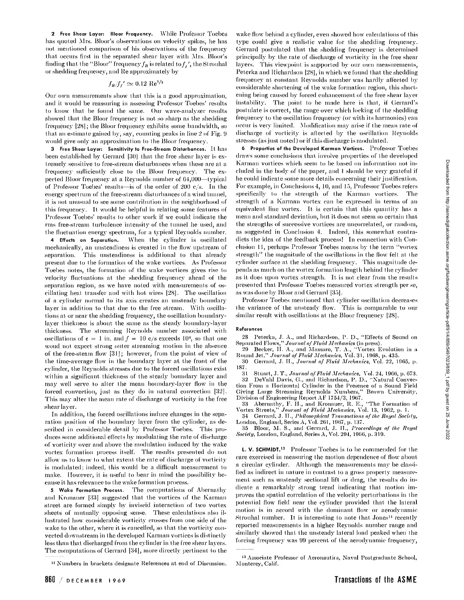2 Free Shear Layer: Bloor Frequency. While Professor Toebes has quoted Mrs. Bloor's observations on velocity spikes, he has not mentioned comparison of his observations of the frequency that occurs first in the separated shear layer with Mrs. Bloor's finding that the "Bloor" frequency  $f_B$  is related to  $f_j$ , the Strouhal or shedding frequency, and He approximately by

# $f_B/f_f{}'\simeq 0.12~{\rm Re}^{1/2}$

Our own measurements show that this is a good approximation, and it would be reassuring in assessing Professor Toebes' results to know that he found the same. Our wave-analyzer results showed that the Bloor frequency is not so sharp as the shedding frequency [28]; the Bloor frequency exhibits some bandwidth, so that an estimate gained by, say, counting peaks in line 2 of Fig. 9 would give only an approximation to the Bloor frequency.

3 Free Shear Layer: Sensitivity to Free-Stream Disturbances.  $1t$   $\rm{has}$ been established by Gerrard [30) that the free shear layer is extremely sensitive to free-stream disturbances when these are at a frequency sufficiently close to the Bloor frequency. The expected Bloor frequency at a Reynolds number of 64,000—typical of Professor Toebes' results—is of the order of 200 c/s . In the energy spectrum of the free-stream disturbances of a wind tunnel, it is not unusual to see some contribution in the neighborhood of this frequency. It would be helpful in relating some features of Professor Toebes' results to other work if we could indicate the rms free-stream turbulence intensity of the tunnel lie used, and the fluctuation energy spectrum, for a typical Reynolds number.

4 Effects on Separation. When the cylinder is oscillated mechanically, an unsteadiness is created in the flow upstream of separation. This unsteadiness is additional to that already present due to the formation of the wake vortices. As Professor Toebes notes, the formation of the wake vortices gives rise to velocity fluctuations at the shedding frequency ahead of the separation region, as we have noted with measurements of oscillating heat transfer and with hot wires [28]. The oscillation of a cylinder normal to its axis creates an unsteady boundary layer in addition to that due to the free stream. With oscillations at or near the shedding frequency, the oscillation boundarylayer thickness is about the same as the steady boundary-layer thickness. The streaming Reynolds number associated with oscillations of  $\epsilon = 1$  in. and  $f = 10$  c/s exceeds 10<sup>4</sup>, so that one woud not expect strong outer streaming motion in the absence of the free-steam flow [31]; however, from the point of view of the time-average flow in the boundary layer at the front of the cylinder, the Reynolds stresses due to the forced oscillations exist within a significant thickness of the steady boundary layer and may well serve to alter the mean boundary-layer flow in the forced convection, just as they do in natural convection [32]. This may alter the mean rate of discharge of vorticity in the free shear layer.

In addition, the forced oscillations induce changes in the separation position of the boundary layer from the cylinder, as described in considerable detail by Professor Toebes. This produces some additional effects by modulating the rate of discharge of vorticity over and above the modulation induced by the wake vortex formation process itself. The results presented do not allow us to know to what extent the rate of discharge of vorticity is modulated; indeed, this would be a difficult measurement 1o make. However, it is useful to bear in mind the possibility because it has relevance to the wake formation process.

5 Wake Formation Process. The computations of Abernathy and Kronauer [33) suggested that the vortices of the Karman street are formed simply by inviscid interaction of two vortex sheets of mutually opposing sense. These calculations also illustrated how considerable vorticity crosses from one side of the wake to the other, where it is cancelled, so that the vorticity converted downstream in the developed Karman vortices is distinctly less than that discharged from the cylinder in the free shear layers. The computations of Gerrard [34], more directly pertinent to the

wake flow behind a cylinder, even showed how calculations of this type could give a realistic value for the shedding frequency. Gerrard postulated that the shedding frequency is determined principally by the rate of discharge of vorticity in the free shear layers. This viewpoint is supported by our own measurements, Peterka and Richardson [28], in which we found that the shedding frequency at constant Reynolds number was hardly affected by considerable shortening of the wake formation region, this shortening being caused by forced enhancement of the free shear layer instability. The point to be made here is that, if Gerrard's postulate is correct, the range over which locking of the shedding frequency to the oscillation frequency (or with its harmonics) can occur is very limited. Modification may arise if the mean rate of discharge of vorticity is affected by the oscillation Reynolds stresses (as just noted) or if this discharge is modulated.

6 Properties of the Developed Karman Vortices. Professor Toebes draws some conclusions that involve properties of the developed Karman vortices which seem to be based on information not included in the body of the paper, and I should be very grateful if he could indicate some more details concerning their justification. For example, in Conclusions 4, 10, and 15, Professor Toebes refers specifically to the strength of the Karman vortices. The strength of a Karman vortex can be expressed in terms of an equivalent line vortex. It is certain that this quantity has a mean and standard deviation, but if does not seem so certain that the strengths of successive vortices are uncorrelated, or random, as suggested in Conclusion 4. Indeed, this somewhat contradicts the idea of the feedback process! In connection with Conclusion 11, perhaps Professor Toebes means by the term "vortex strength" the magnitude of the oscillations in the flow felt at the cylinder surface at the shedding frequency. This magnitude depends as much on the vortex formation length behind the cylinder as it does upon vortex strength. It is not clear from the results presented that Professor Toebes measured vortex strength per se, as was done by Bloor and Gerrard [35].

Professor Toebes mentioned that cylinder oscillation decreases the variance of the unsteady flow. This is comparable to our similar result with oscillations at the Bloor frequency [28).

#### References

2S Peterka, J. A., and Richardson, 1'. D., "Effects of Sound on Separated Flows," *Journal of Fluid Mechanics* (in press).

29 Becker, II. A., and Massaro, T. A., "Vortex Evolution in a Round Jet," *Journal of Fluid Mechanics,* Vol. 31, 1908, p. 435.

30 Gerrard, J. H., Journal of Fluid Mechanics, Vol. 22, 1965, p. 187.

31 Stuart, J. T " *Journal of Fluid Mechanics,* Vol. 24, 1900, p. 073.

32 DeValil Davis, G., and Richardson, P. D., "Natural Convection From a Horizontal Cylinder in the Presence of a Sound Field Giving Large Streaming Reynolds Numbers," Brown University, Division of Engineering Report AF 1754/3, 1907.

33 Abernathy, F. H., and Kronauer, R. E., "The Formation of Vortex Streets," *Journal of Fluid Mechanics,* Vol. 13, 1902, p. 1. 34 Gerrard, J. II., *Philosophical Transactions of the Royal Society,* 

London, England, Series A, Vol. 2G1, 1907, p. 137.

35 Bloor, M. S., and Gerrard, J. II., *Proceedings of the Royal Society,* London, England, Series A, Vol. 294, 1900, p. 319.

L. V. SCHMIDT.<sup>13</sup> Professor Toebes is to be commended for the care exercised in measuring the motion dependence of flow about a circular cylinder. Although the measurements may be classified as indirect in nature in contrast to a gross property measurement such as unsteady sectional lift or drag, the results do indicate a remarkably strong trend indicating that motion improves the spatial correlation of the velocity perturbations in the potential flow field near the cylinder provided that the lateral motion is in accord with the dominant flow or aerodynamic Strouhal number. It is interesting to note that Jones14 recently reported measurements in a higher Reynolds number range and similarly showed that the unsteady lateral load peaked when the forcing frequency was 99 percent of the aerodynamic frequency,

<sup>12</sup> Numbers in brackets designate References at end of Discussion.

<sup>13</sup> Associate Professor of Aeronautics, Naval Postgraduate School, Monterey, Calif.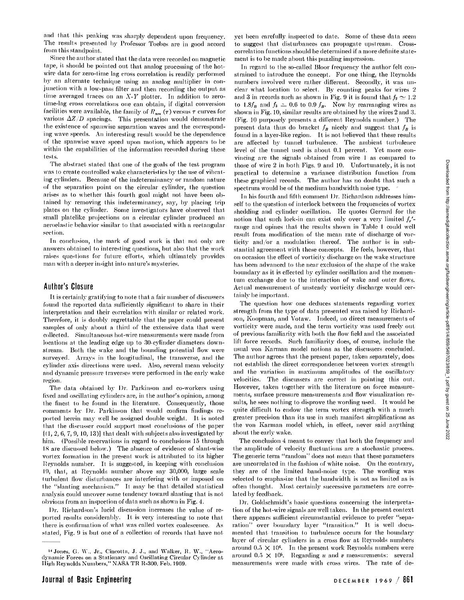and that this peaking was sharply dependent upon frequency. The results presented by Professor Toebes are in good accord from this standpoint.

Since the author stated that the data were recorded on magnetic tape, it should be pointed out that analog processing of the hotwire data for zero-time lag cross correlation is readily performed by an alternate technique using an analog multiplier in conjunction with a low-pass filter and then recording the output as time averaged traces on an *X-Y* plotter. In addition to zerotime-lag cross correlations one can obtain, if digital conversion facilities were available, the family of  $R_{nm}(\tau)$  versus  $\tau$  curves for various *AZ/D* spacings. This presentation would demonstrate the existence of spanwisc separation waves and the corresponding wave speeds. An interesting result would be the dependence of the spanwise wave speed upon motion, which appears to be within the capabilities of the information recorded during these tests.

The abstract stated that one of the goals of the test program was to create controlled wake characteristics by the use of vibrating cylinders. Because of the indeterminancy or random nature of the separation point on the circular cylinder, the question arises as to whether this fourth goal might not have been obtained by removing this indeterminancy, say, by placing trip plates on the cylinder. Some investigators have observed that small platelike projections on a circular cylinder produced an aeroelastic behavior similar to that associated with a rectangular section.

In conclusion, the mark of good work is that not only are answers obtained to interesting questions, but also that the work raises questions for future efforts, which ultimately provides man with a deeper insight into nature's mysteries.

### Author's Closure

It is certainly gratifying to note that a fair number of discussers found the reported data sufficiently significant to share in their interpretation and their correlation with similar or related work. Therefore, it is doubly regrettable that the paper could present samples of only about a third of the extensive data that were collected. Simultaneous hot-wire measurements were made from locations at the leading edge up to 30-cylinder diameters downstream. Both the wake and the bounding potential flow were surveyed. Arrays in the longitudinal, the transverse, and the cylinder axis directions were used. Also, several mean velocity and dynamic pressure traverses were performed in the early wake region.

The data obtained by Dr. Parkinson and co-workers using fixed and oscillating cylinders are, in the author's opinion, among the finest to be found in the literature. Consequently, those comments by Dr. Parkinson that would confirm findings reported herein may well be assigned double weight. It is noted that the discusser could support most conclusions of the paper  $(1, 2, 6, 7, 9, 10, 13)$ ] that dealt with subjects also investigated by him. (Possible reservations in regard to conclusions 15 through IS are discussed below.) The absence of evidence of slant-wise vortex formation in the present work is attributed to its higher Reynolds number. It is suggested, in keeping with conclusion 10, that, at Reynolds number above say 30,000, large scale turbulent flow disturbances are interfering with or imposed on the "slanting mechanism." It may be that detailed statistical analysis could uncover some tendency toward slanting that is not obvious from an inspection of data such as shown in Fig. 4.

Dr. Richardson's lucid discussion increases the value of reported results considerably. It is very interesting to note that there is confirmation of what was called vortex coalescence. As stated, Fig. 0 is but one of a collection of records that have not yet been carefully inspected to date. Some of these data seem to suggest that disturbances can propagate upstream. Crosscorrelation functions should be determined if a more definite statement is to be made about this puzzling impression.

In regard to the so-called Bloor frequency the author felt constrained to introduce the concept. For one thing, the Reynolds numbers involved were rather different. Secondly, it was unclear what location to select. By counting peaks for wires 2 and 3 in records such as shown in Fig. 9 it is found that  $f_2 \simeq 1.2$ to 1.8 $f_B$  and  $f_A \simeq 0.6$  to 0.9  $f_B$ . Now by rearranging wires as shown in Fig. 10, similar results are obtained by the wires 2 and 3. (Fig. 10 purposely presents a different Reynolds number.) The present data thus do bracket  $f_B$  nicely and suggest that  $f_B$  is found in a layer-like region. It is not believed that these results are affected by tunnel turbulence. The ambient turbulence level of the tunnel used is about 0.1 percent. Yet more convincing are the signals obtained from wire 1 as compared to those of wire 2 in both Figs. 9 and 10. Unfortunately, it is not practical to determine a variance distribution function from these graphical records. The author has no doubt that such a spectrum would be of the medium bandwidth noise type.

In his fourth and fifth comment Dr. Richardson addresses himself to the question of interlock between the frequencies of vortex shedding and cylinder oscillation. He quotes Gerrard for the notion that such lock-in can exist only over a very limited  $f'$ range and opines that the results shown in Table 1 could well result from modification of the mean rate of discharge of vorticity and/or a modulation thereof. The author is in substantial agreement with these concepts. He feels, however, that on occasion the effect of vorticity discharge on the wake structure has been advanced to the near exclusion of the shape of the wake boundary as it is effected by cylinder oscillation and the momentum exchange due to the interaction of wake and outer flows. Actual measurement of unsteady vorticity discharge would certainly be important.

The question how one deduces statements regarding vortex strength from the type of data presented was raised by Richardson, Koopman, and Votaw. Indeed, no direct measurements of vorticity were made, and the term vorticity was used freely out of previous familiarity with both the flow field and the associated lift force records. Such familiarity does, of course, include the usual von Karman model notions as the discussers concluded. The author agrees that the present paper, taken separately, does not establish the direct correspondence between vortex strength and the variation in maximum amplitudes of the oscillatory velocities. The discussers are correct in pointing this out. However, taken together with the literature on force measurements, surface pressure measurements and flow visualization results, he sees nothing to disprove the wording used. It would be quite difficult to endow the term vortex strength with a much greater precision than its use in such manifest simplifications as the von Karman model which, in effect, never said anything about the early wake.

The conclusion 4 meant to convey that both the frequency and the amplitude of velocity fluctuations are a stochastic process. The generic term "random" does not mean that these parameters are uncorrelated in the fashion of white noise. On the contrary, they are of the limited band-noise type. The wording was selected to emphasize that the bandwidth is not as limited as is often thought. Most certainly successive parameters are correlated by feedback.

Dr. Goldschmidt's basic questions concerning the interpretation of the hot-wire signals are well taken. In the present context there appears sufficient circumstantial evidence to prefer "separation" over boundary layer "transition." It is well documented that transition to turbulence occurs for the boundary layer of circular cylinders in a cross flow at Reynolds numbers around  $0.5 \times 10^6$ . In the present work Reynolds numbers were around 0.5 X 10<sup>s</sup> . Regarding *11* and *v* measurements: several measurements were made with cross wires. The rate of de-

<sup>&</sup>lt;sup>14</sup> Jones, G. W., Jr., Cincotta, J. J., and Walker, R. W., "Aerodynamic Forces on a Stationary and Oscillating Circular Cylinder at<br>High Reynolds Numbers,'' NASA TR R-300, Feb. 1969.